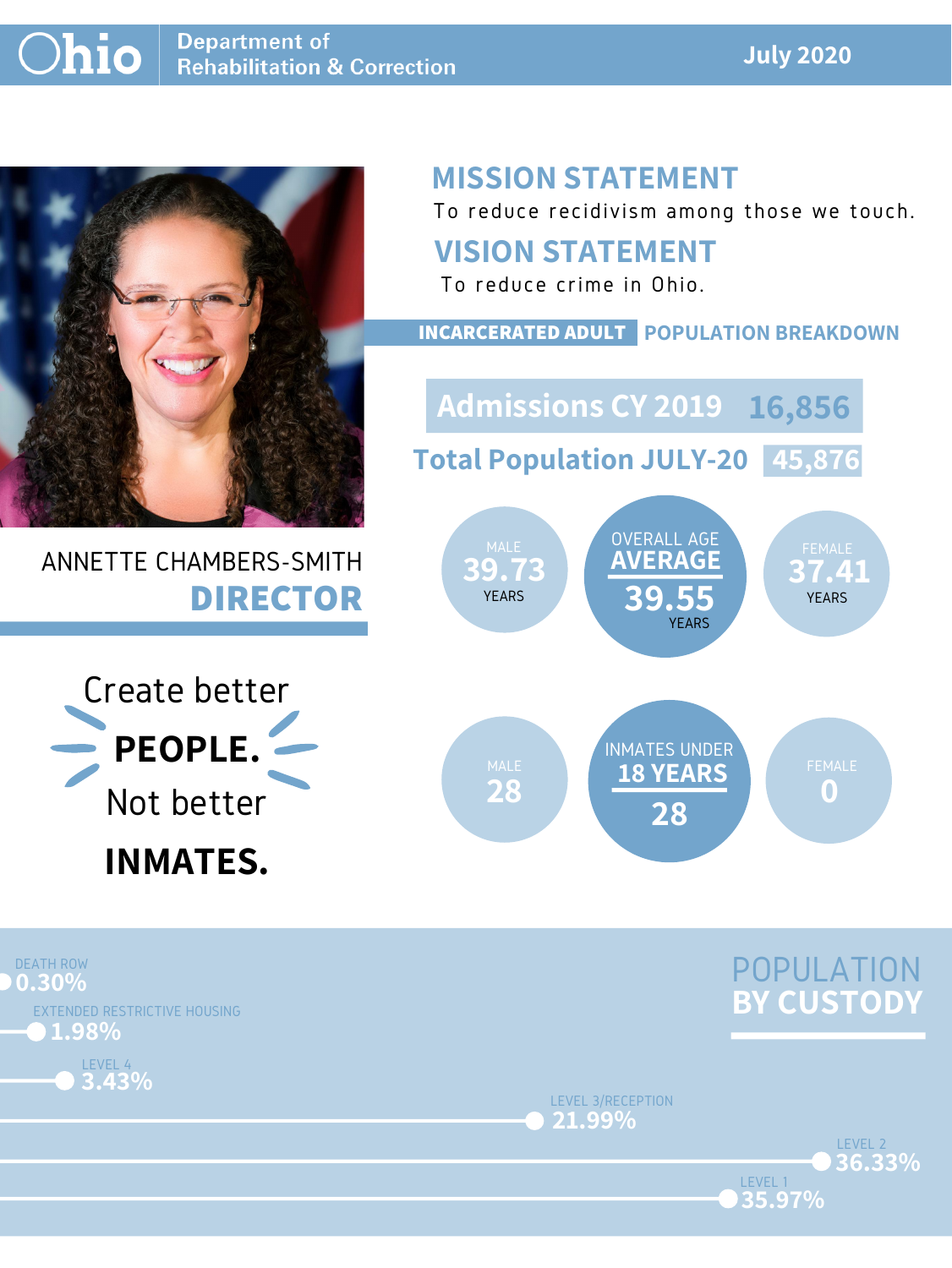#### **July 2020**



# ANNETTE CHAMBERS-SMITH **DIRECTOR**

# **MISSION STATEMENT**

To reduce recidivism among those we touch.





LEVEL 1

LEVEL 3/RECEPTION **21.99%**





### **VISION STATEMENT**



To reduce crime in Ohio.

#### **INCARCERATED ADULT POPULATION BREAKDOWN**

**Total Population JULY-20 45,876**

**Admissions CY 2019 16,856**

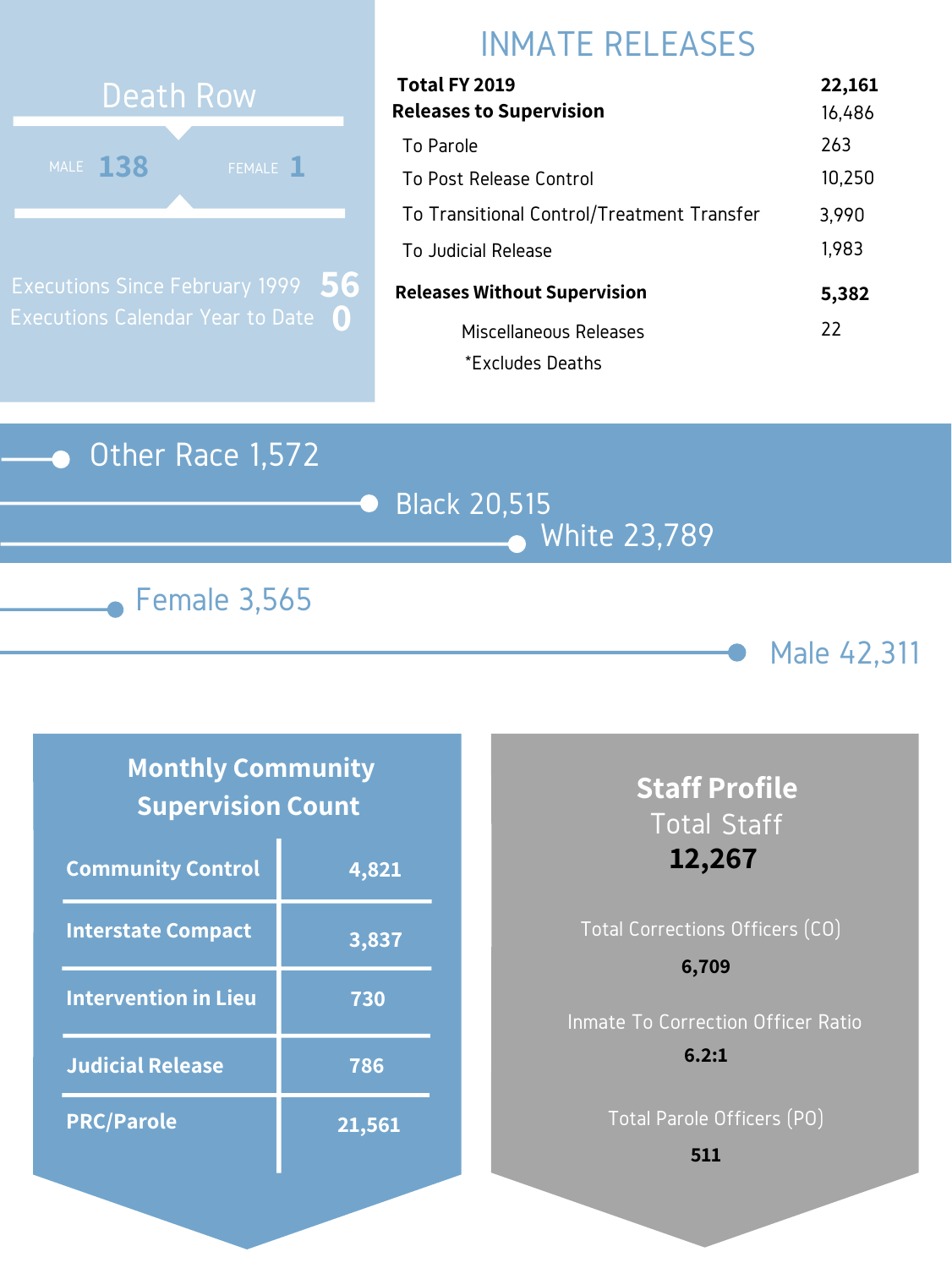#### Other Race 1,572







# INMATE RELEASES

| Total FY 2019                              | 22,161 |
|--------------------------------------------|--------|
| <b>Releases to Supervision</b>             | 16,486 |
| To Parole                                  | 263    |
| To Post Release Control                    | 10,250 |
| To Transitional Control/Treatment Transfer | 3,990  |
| To Judicial Release                        | 1,983  |
| <b>Releases Without Supervision</b>        | 5,382  |
| Miscellaneous Releases                     | 22     |
| *Excludes Deaths                           |        |



Executions Since February 1999 Executions Calendar Year to Date **0 56**

### **Monthly Community Supervision Count**

| <b>Community Control</b>    | 4,821  |
|-----------------------------|--------|
| <b>Interstate Compact</b>   | 3,837  |
| <b>Intervention in Lieu</b> | 730    |
| <b>Judicial Release</b>     | 786    |
| <b>PRC/Parole</b>           | 21,561 |

# **Staff Profile** Total Staff **12,267**

# Total Corrections Officers (CO) Inmate To Correction Officer Ratio **6,709 6.2:1**

Total Parole Officers (PO)

**511**